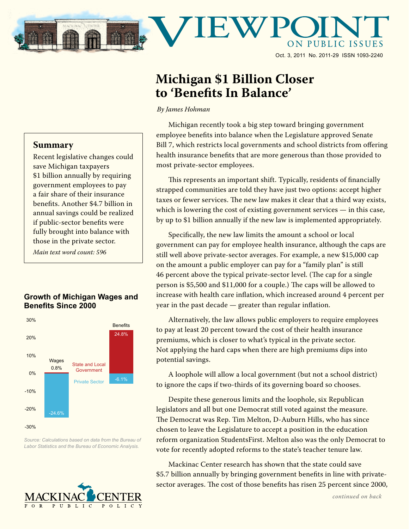

## **Michigan \$1 Billion Closer to 'Benefits In Balance'**

*By James Hohman*

Michigan recently took a big step toward bringing government employee benefits into balance when the Legislature approved Senate Bill 7, which restricts local governments and school districts from offering health insurance benefits that are more generous than those provided to most private-sector employees.

This represents an important shift. Typically, residents of financially strapped communities are told they have just two options: accept higher taxes or fewer services. The new law makes it clear that a third way exists, which is lowering the cost of existing government services - in this case, by up to \$1 billion annually if the new law is implemented appropriately.

Specifically, the new law limits the amount a school or local government can pay for employee health insurance, although the caps are still well above private-sector averages. For example, a new \$15,000 cap on the amount a public employer can pay for a "family plan" is still 46 percent above the typical private-sector level. (The cap for a single person is \$5,500 and \$11,000 for a couple.) The caps will be allowed to increase with health care inflation, which increased around 4 percent per year in the past decade — greater than regular inflation.

Alternatively, the law allows public employers to require employees to pay at least 20 percent toward the cost of their health insurance premiums, which is closer to what's typical in the private sector. Not applying the hard caps when there are high premiums dips into potential savings.

A loophole will allow a local government (but not a school district) to ignore the caps if two-thirds of its governing board so chooses.

Despite these generous limits and the loophole, six Republican legislators and all but one Democrat still voted against the measure. The Democrat was Rep. Tim Melton, D-Auburn Hills, who has since chosen to leave the Legislature to accept a position in the education reform organization StudentsFirst. Melton also was the only Democrat to vote for recently adopted reforms to the state's teacher tenure law.

Mackinac Center research has shown that the state could save \$5.7 billion annually by bringing government benefits in line with privatesector averages. The cost of those benefits has risen 25 percent since 2000,

## **Summary**

Recent legislative changes could save Michigan taxpayers \$1 billion annually by requiring government employees to pay a fair share of their insurance benefits. Another \$4.7 billion in annual savings could be realized if public-sector benefits were fully brought into balance with those in the private sector.

*Main text word count: 596*

## **Growth of Michigan Wages and Benefits Since 2000**



*Source: Calculations based on data from the Bureau of Labor Statistics and the Bureau of Economic Analysis.*